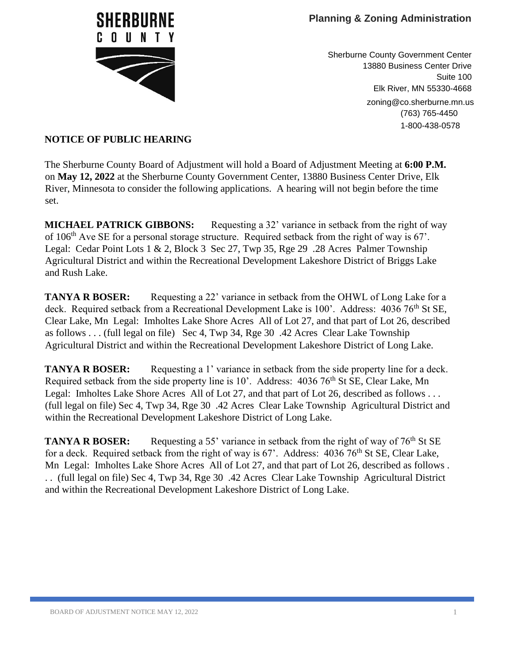

Sherburne County Government Center 13880 Business Center Drive Suite 100 Elk River, MN 55330-4668 zoning@co.sherburne.mn.us (763) 765-4450 1-800-438-0578

## **NOTICE OF PUBLIC HEARING**

The Sherburne County Board of Adjustment will hold a Board of Adjustment Meeting at **6:00 P.M.** on **May 12, 2022** at the Sherburne County Government Center, 13880 Business Center Drive, Elk River, Minnesota to consider the following applications. A hearing will not begin before the time set.

**MICHAEL PATRICK GIBBONS:** Requesting a 32' variance in setback from the right of way of 106th Ave SE for a personal storage structure. Required setback from the right of way is 67'. Legal: Cedar Point Lots 1 & 2, Block 3 Sec 27, Twp 35, Rge 29 .28 Acres Palmer Township Agricultural District and within the Recreational Development Lakeshore District of Briggs Lake and Rush Lake.

**TANYA R BOSER:** Requesting a 22' variance in setback from the OHWL of Long Lake for a deck. Required setback from a Recreational Development Lake is 100'. Address: 4036 76<sup>th</sup> St SE, Clear Lake, Mn Legal: Imholtes Lake Shore Acres All of Lot 27, and that part of Lot 26, described as follows . . . (full legal on file) Sec 4, Twp 34, Rge 30 .42 Acres Clear Lake Township Agricultural District and within the Recreational Development Lakeshore District of Long Lake.

**TANYA R BOSER:** Requesting a 1' variance in setback from the side property line for a deck. Required setback from the side property line is  $10'$ . Address:  $4036\,76^{th}$  St SE, Clear Lake, Mn Legal: Imholtes Lake Shore Acres All of Lot 27, and that part of Lot 26, described as follows . . . (full legal on file) Sec 4, Twp 34, Rge 30 .42 Acres Clear Lake Township Agricultural District and within the Recreational Development Lakeshore District of Long Lake.

**TANYA R BOSER:** Requesting a 55' variance in setback from the right of way of 76<sup>th</sup> St SE for a deck. Required setback from the right of way is  $67'$ . Address:  $4036\,76^{th}$  St SE, Clear Lake, Mn Legal: Imholtes Lake Shore Acres All of Lot 27, and that part of Lot 26, described as follows . . . (full legal on file) Sec 4, Twp 34, Rge 30 .42 Acres Clear Lake Township Agricultural District and within the Recreational Development Lakeshore District of Long Lake.